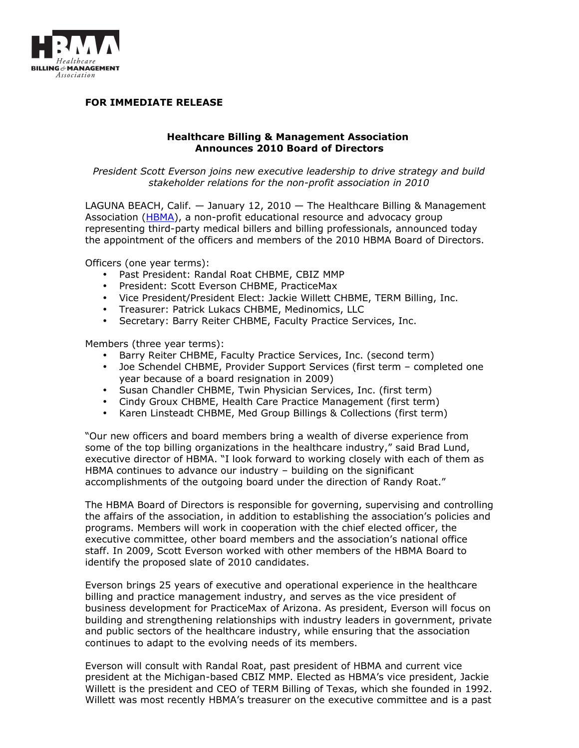

## **FOR IMMEDIATE RELEASE**

## **Healthcare Billing & Management Association Announces 2010 Board of Directors**

*President Scott Everson joins new executive leadership to drive strategy and build stakeholder relations for the non-profit association in 2010*

LAGUNA BEACH, Calif. — January 12, 2010 — The Healthcare Billing & Management Association [\(HBMA\)](http://www.hbma.org/), a non-profit educational resource and advocacy group representing third-party medical billers and billing professionals, announced today the appointment of the officers and members of the 2010 HBMA Board of Directors.

Officers (one year terms):

- Past President: Randal Roat CHBME, CBIZ MMP
- President: Scott Everson CHBME, PracticeMax
- Vice President/President Elect: Jackie Willett CHBME, TERM Billing, Inc.
- Treasurer: Patrick Lukacs CHBME, Medinomics, LLC
- Secretary: Barry Reiter CHBME, Faculty Practice Services, Inc.

Members (three year terms):

- Barry Reiter CHBME, Faculty Practice Services, Inc. (second term)
- Joe Schendel CHBME, Provider Support Services (first term completed one year because of a board resignation in 2009)
- Susan Chandler CHBME, Twin Physician Services, Inc. (first term)
- Cindy Groux CHBME, Health Care Practice Management (first term)
- Karen Linsteadt CHBME, Med Group Billings & Collections (first term)

"Our new officers and board members bring a wealth of diverse experience from some of the top billing organizations in the healthcare industry," said Brad Lund, executive director of HBMA. "I look forward to working closely with each of them as HBMA continues to advance our industry – building on the significant accomplishments of the outgoing board under the direction of Randy Roat."

The HBMA Board of Directors is responsible for governing, supervising and controlling the affairs of the association, in addition to establishing the association's policies and programs. Members will work in cooperation with the chief elected officer, the executive committee, other board members and the association's national office staff. In 2009, Scott Everson worked with other members of the HBMA Board to identify the proposed slate of 2010 candidates.

Everson brings 25 years of executive and operational experience in the healthcare billing and practice management industry, and serves as the vice president of business development for PracticeMax of Arizona. As president, Everson will focus on building and strengthening relationships with industry leaders in government, private and public sectors of the healthcare industry, while ensuring that the association continues to adapt to the evolving needs of its members.

Everson will consult with Randal Roat, past president of HBMA and current vice president at the Michigan-based CBIZ MMP. Elected as HBMA's vice president, Jackie Willett is the president and CEO of TERM Billing of Texas, which she founded in 1992. Willett was most recently HBMA's treasurer on the executive committee and is a past